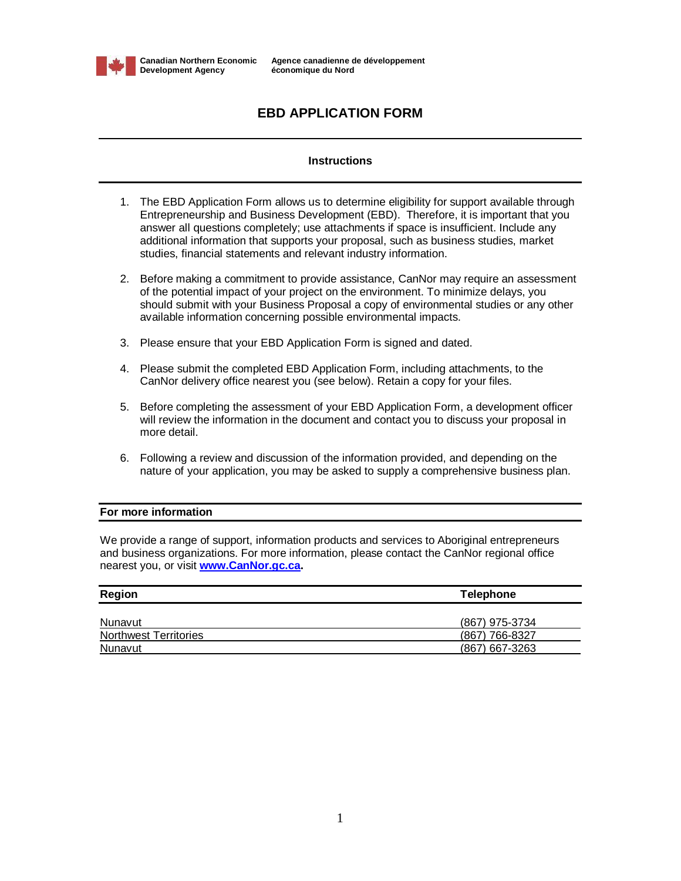

# **EBD APPLICATION FORM**

# **Instructions**

- 1. The EBD Application Form allows us to determine eligibility for support available through Entrepreneurship and Business Development (EBD). Therefore, it is important that you answer all questions completely; use attachments if space is insufficient. Include any additional information that supports your proposal, such as business studies, market studies, financial statements and relevant industry information.
- 2. Before making a commitment to provide assistance, CanNor may require an assessment of the potential impact of your project on the environment. To minimize delays, you should submit with your Business Proposal a copy of environmental studies or any other available information concerning possible environmental impacts.
- 3. Please ensure that your EBD Application Form is signed and dated.
- 4. Please submit the completed EBD Application Form, including attachments, to the CanNor delivery office nearest you (see below). Retain a copy for your files.
- 5. Before completing the assessment of your EBD Application Form, a development officer will review the information in the document and contact you to discuss your proposal in more detail.
- 6. Following a review and discussion of the information provided, and depending on the nature of your application, you may be asked to supply a comprehensive business plan.

# **For more information**

We provide a range of support, information products and services to Aboriginal entrepreneurs and business organizations. For more information, please contact the CanNor regional office nearest you, or visit **[www.CanNor.gc.ca.](http://www.CanNor.gc.ca.)**

| <b>Region</b>                | <b>Telephone</b> |
|------------------------------|------------------|
|                              |                  |
| Nunavut                      | (867) 975-3734   |
| <b>Northwest Territories</b> | $(867)$ 766-8327 |
| Nunavut                      | (867) 667-3263   |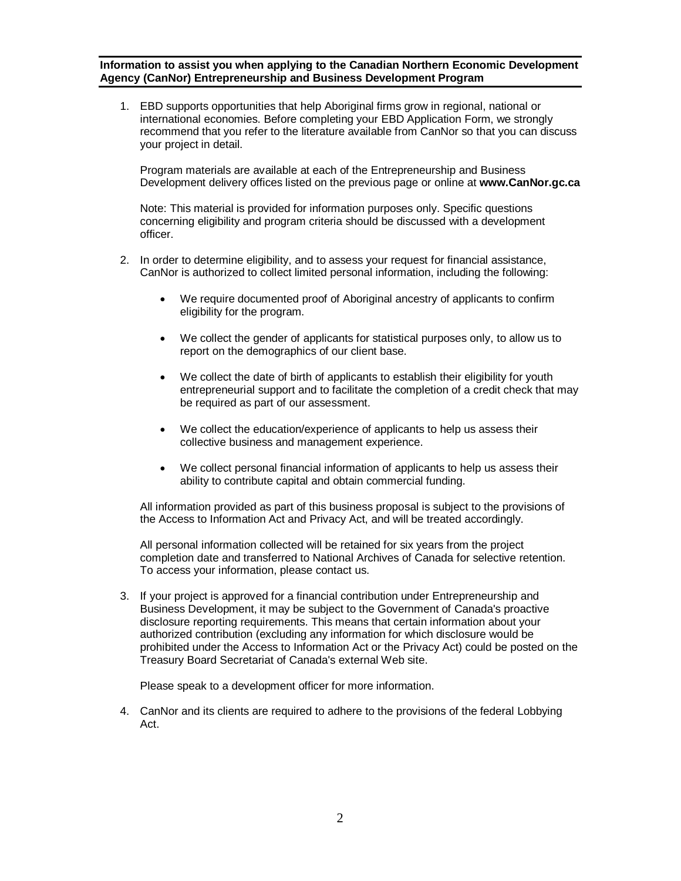**Information to assist you when applying to the Canadian Northern Economic Development Agency (CanNor) Entrepreneurship and Business Development Program**

1. EBD supports opportunities that help Aboriginal firms grow in regional, national or international economies. Before completing your EBD Application Form, we strongly recommend that you refer to the literature available from CanNor so that you can discuss your project in detail.

Program materials are available at each of the Entrepreneurship and Business Development delivery offices listed on the previous page or online at **[www.CanNor.gc.ca](http://www.CanNor.gc.ca)**

Note: This material is provided for information purposes only. Specific questions concerning eligibility and program criteria should be discussed with a development officer.

- 2. In order to determine eligibility, and to assess your request for financial assistance, CanNor is authorized to collect limited personal information, including the following:
	- We require documented proof of Aboriginal ancestry of applicants to confirm eligibility for the program.
	- We collect the gender of applicants for statistical purposes only, to allow us to report on the demographics of our client base.
	- We collect the date of birth of applicants to establish their eligibility for youth entrepreneurial support and to facilitate the completion of a credit check that may be required as part of our assessment.
	- We collect the education/experience of applicants to help us assess their collective business and management experience.
	- We collect personal financial information of applicants to help us assess their ability to contribute capital and obtain commercial funding.

All information provided as part of this business proposal is subject to the provisions of the Access to Information Act and Privacy Act, and will be treated accordingly.

All personal information collected will be retained for six years from the project completion date and transferred to National Archives of Canada for selective retention. To access your information, please contact us.

3. If your project is approved for a financial contribution under Entrepreneurship and Business Development, it may be subject to the Government of Canada's proactive disclosure reporting requirements. This means that certain information about your authorized contribution (excluding any information for which disclosure would be prohibited under the Access to Information Act or the Privacy Act) could be posted on the Treasury Board Secretariat of Canada's external Web site.

Please speak to a development officer for more information.

4. CanNor and its clients are required to adhere to the provisions of the federal Lobbying Act.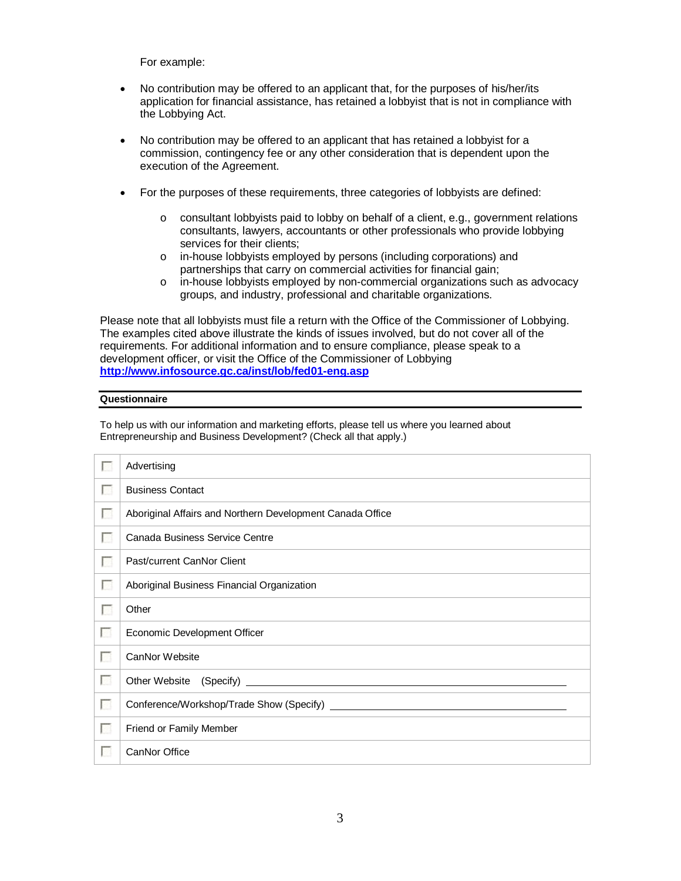For example:

- No contribution may be offered to an applicant that, for the purposes of his/her/its application for financial assistance, has retained a lobbyist that is not in compliance with the Lobbying Act.
- No contribution may be offered to an applicant that has retained a lobbyist for a commission, contingency fee or any other consideration that is dependent upon the execution of the Agreement.
- For the purposes of these requirements, three categories of lobbyists are defined:
	- o consultant lobbyists paid to lobby on behalf of a client, e.g., government relations consultants, lawyers, accountants or other professionals who provide lobbying services for their clients;
	- o in-house lobbyists employed by persons (including corporations) and partnerships that carry on commercial activities for financial gain;
	- o in-house lobbyists employed by non-commercial organizations such as advocacy groups, and industry, professional and charitable organizations.

Please note that all lobbyists must file a return with the Office of the Commissioner of Lobbying. The examples cited above illustrate the kinds of issues involved, but do not cover all of the requirements. For additional information and to ensure compliance, please speak to a development officer, or visit the Office of the Commissioner of Lobbying **<http://www.infosource.gc.ca/inst/lob/fed01-eng.asp>**

#### **Questionnaire**

To help us with our information and marketing efforts, please tell us where you learned about Entrepreneurship and Business Development? (Check all that apply.)

|                 | Advertising                                               |
|-----------------|-----------------------------------------------------------|
| <b>COLLEGE</b>  | <b>Business Contact</b>                                   |
| <b>Form</b>     | Aboriginal Affairs and Northern Development Canada Office |
| <b>A</b>        | Canada Business Service Centre                            |
| <b>Part</b>     | Past/current CanNor Client                                |
| B               | Aboriginal Business Financial Organization                |
| <b>R</b>        | Other                                                     |
| Г               | Economic Development Officer                              |
| г               | CanNor Website                                            |
| <b>Fill</b>     |                                                           |
| <b>I</b>        |                                                           |
| <b>Research</b> | Friend or Family Member                                   |
| г               | CanNor Office                                             |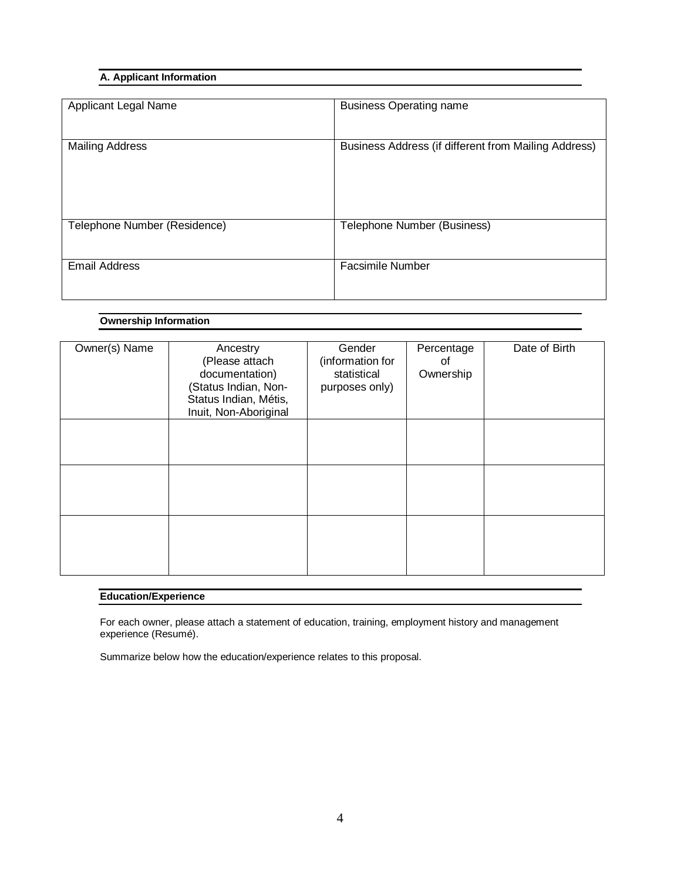# **A. Applicant Information**

| Applicant Legal Name         | <b>Business Operating name</b>                       |
|------------------------------|------------------------------------------------------|
| <b>Mailing Address</b>       | Business Address (if different from Mailing Address) |
| Telephone Number (Residence) | Telephone Number (Business)                          |
| <b>Email Address</b>         | <b>Facsimile Number</b>                              |

# **Ownership Information**

| Owner(s) Name | Ancestry<br>(Please attach<br>documentation)<br>(Status Indian, Non-<br>Status Indian, Métis,<br>Inuit, Non-Aboriginal | Gender<br>(information for<br>statistical<br>purposes only) | Percentage<br>οf<br>Ownership | Date of Birth |
|---------------|------------------------------------------------------------------------------------------------------------------------|-------------------------------------------------------------|-------------------------------|---------------|
|               |                                                                                                                        |                                                             |                               |               |
|               |                                                                                                                        |                                                             |                               |               |
|               |                                                                                                                        |                                                             |                               |               |

# **Education/Experience**

For each owner, please attach a statement of education, training, employment history and management experience (Resumé).

Summarize below how the education/experience relates to this proposal.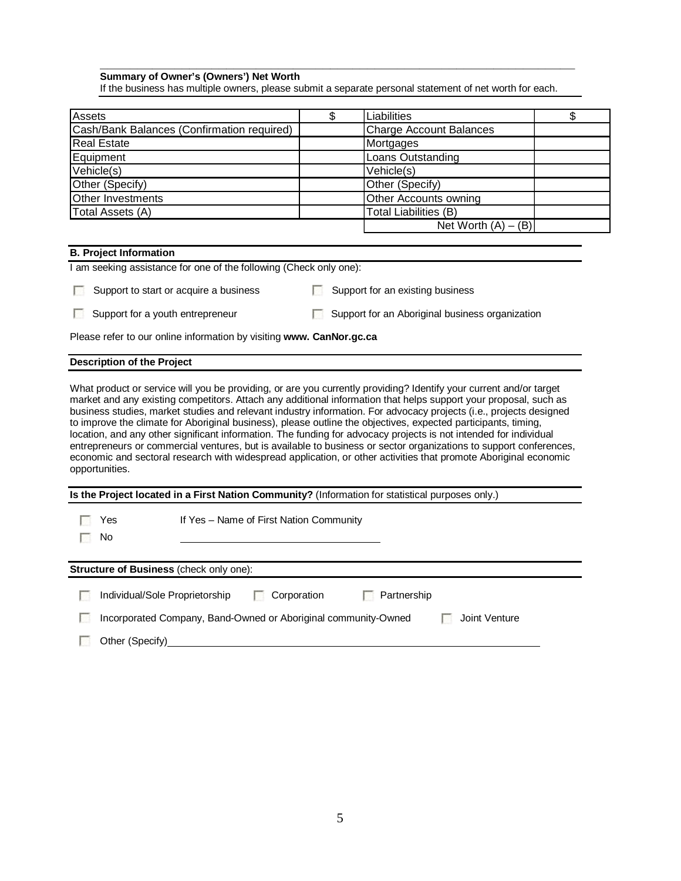### **\_\_\_\_\_\_\_\_\_\_\_\_\_\_\_\_\_\_\_\_\_\_\_\_\_\_\_\_\_\_\_\_\_\_\_\_\_\_\_\_\_\_\_\_\_\_\_\_\_\_\_\_\_\_\_\_\_\_\_\_\_\_\_\_ Summary of Owner's (Owners') Net Worth**

If the business has multiple owners, please submit a separate personal statement of net worth for each.

| <b>Assets</b>                              | \$<br>Liabilities              |  |
|--------------------------------------------|--------------------------------|--|
| Cash/Bank Balances (Confirmation required) | <b>Charge Account Balances</b> |  |
| <b>Real Estate</b>                         | Mortgages                      |  |
| Equipment                                  | Loans Outstanding              |  |
| Vehicle(s)                                 | Vehicle(s)                     |  |
| Other (Specify)                            | Other (Specify)                |  |
| <b>Other Investments</b>                   | Other Accounts owning          |  |
| Total Assets (A)                           | Total Liabilities (B)          |  |
|                                            | Net Worth $(A) - (B)$          |  |

|                                                                                                                                                                                                                                                                                                                                                                                                                                                                                                                                                                                                                                                                                                                                                                                                                                                                 | <b>B. Project Information</b>     |                                                                                                  |             |                                  |                                                 |  |
|-----------------------------------------------------------------------------------------------------------------------------------------------------------------------------------------------------------------------------------------------------------------------------------------------------------------------------------------------------------------------------------------------------------------------------------------------------------------------------------------------------------------------------------------------------------------------------------------------------------------------------------------------------------------------------------------------------------------------------------------------------------------------------------------------------------------------------------------------------------------|-----------------------------------|--------------------------------------------------------------------------------------------------|-------------|----------------------------------|-------------------------------------------------|--|
|                                                                                                                                                                                                                                                                                                                                                                                                                                                                                                                                                                                                                                                                                                                                                                                                                                                                 |                                   | I am seeking assistance for one of the following (Check only one):                               |             |                                  |                                                 |  |
|                                                                                                                                                                                                                                                                                                                                                                                                                                                                                                                                                                                                                                                                                                                                                                                                                                                                 |                                   | Support to start or acquire a business                                                           |             | Support for an existing business |                                                 |  |
|                                                                                                                                                                                                                                                                                                                                                                                                                                                                                                                                                                                                                                                                                                                                                                                                                                                                 | Support for a youth entrepreneur  |                                                                                                  |             |                                  | Support for an Aboriginal business organization |  |
|                                                                                                                                                                                                                                                                                                                                                                                                                                                                                                                                                                                                                                                                                                                                                                                                                                                                 |                                   | Please refer to our online information by visiting www. CanNor.gc.ca                             |             |                                  |                                                 |  |
|                                                                                                                                                                                                                                                                                                                                                                                                                                                                                                                                                                                                                                                                                                                                                                                                                                                                 | <b>Description of the Project</b> |                                                                                                  |             |                                  |                                                 |  |
| What product or service will you be providing, or are you currently providing? Identify your current and/or target<br>market and any existing competitors. Attach any additional information that helps support your proposal, such as<br>business studies, market studies and relevant industry information. For advocacy projects (i.e., projects designed<br>to improve the climate for Aboriginal business), please outline the objectives, expected participants, timing,<br>location, and any other significant information. The funding for advocacy projects is not intended for individual<br>entrepreneurs or commercial ventures, but is available to business or sector organizations to support conferences,<br>economic and sectoral research with widespread application, or other activities that promote Aboriginal economic<br>opportunities. |                                   |                                                                                                  |             |                                  |                                                 |  |
|                                                                                                                                                                                                                                                                                                                                                                                                                                                                                                                                                                                                                                                                                                                                                                                                                                                                 |                                   | Is the Project located in a First Nation Community? (Information for statistical purposes only.) |             |                                  |                                                 |  |
|                                                                                                                                                                                                                                                                                                                                                                                                                                                                                                                                                                                                                                                                                                                                                                                                                                                                 | Yes<br>No                         | If Yes - Name of First Nation Community                                                          |             |                                  |                                                 |  |
|                                                                                                                                                                                                                                                                                                                                                                                                                                                                                                                                                                                                                                                                                                                                                                                                                                                                 |                                   | Structure of Business (check only one):                                                          |             |                                  |                                                 |  |
|                                                                                                                                                                                                                                                                                                                                                                                                                                                                                                                                                                                                                                                                                                                                                                                                                                                                 | Individual/Sole Proprietorship    |                                                                                                  | Corporation | Partnership                      |                                                 |  |
|                                                                                                                                                                                                                                                                                                                                                                                                                                                                                                                                                                                                                                                                                                                                                                                                                                                                 |                                   | Incorporated Company, Band-Owned or Aboriginal community-Owned                                   |             |                                  | Joint Venture                                   |  |

Other (Specify)<br>
and Other (Specify)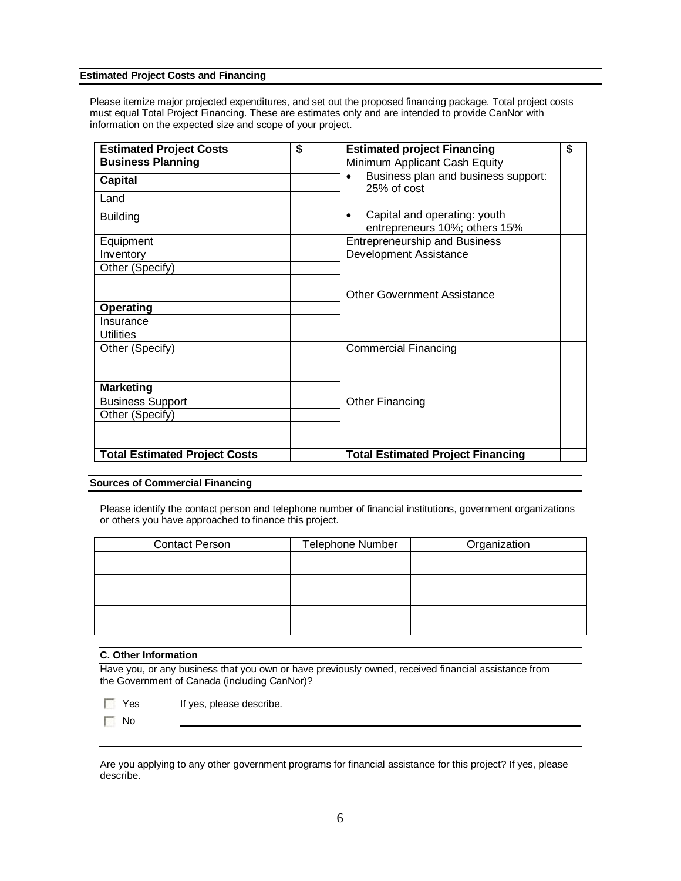#### **Estimated Project Costs and Financing**

Please itemize major projected expenditures, and set out the proposed financing package. Total project costs must equal Total Project Financing. These are estimates only and are intended to provide CanNor with information on the expected size and scope of your project.

| <b>Estimated Project Costs</b>       | \$<br><b>Estimated project Financing</b>                                   | \$ |
|--------------------------------------|----------------------------------------------------------------------------|----|
| <b>Business Planning</b>             | Minimum Applicant Cash Equity                                              |    |
| <b>Capital</b>                       | Business plan and business support:<br>$25%$ of cost                       |    |
| Land                                 |                                                                            |    |
| <b>Building</b>                      | Capital and operating: youth<br>$\bullet$<br>entrepreneurs 10%; others 15% |    |
| Equipment                            | <b>Entrepreneurship and Business</b>                                       |    |
| Inventory                            | Development Assistance                                                     |    |
| Other (Specify)                      |                                                                            |    |
|                                      |                                                                            |    |
|                                      | <b>Other Government Assistance</b>                                         |    |
| <b>Operating</b>                     |                                                                            |    |
| Insurance                            |                                                                            |    |
| <b>Utilities</b>                     |                                                                            |    |
| Other (Specify)                      | <b>Commercial Financing</b>                                                |    |
|                                      |                                                                            |    |
|                                      |                                                                            |    |
| <b>Marketing</b>                     |                                                                            |    |
| <b>Business Support</b>              | <b>Other Financing</b>                                                     |    |
| Other (Specify)                      |                                                                            |    |
|                                      |                                                                            |    |
|                                      |                                                                            |    |
| <b>Total Estimated Project Costs</b> | <b>Total Estimated Project Financing</b>                                   |    |

# **Sources of Commercial Financing**

Please identify the contact person and telephone number of financial institutions, government organizations or others you have approached to finance this project.

| <b>Contact Person</b> | Telephone Number | Organization |
|-----------------------|------------------|--------------|
|                       |                  |              |
|                       |                  |              |
|                       |                  |              |
|                       |                  |              |
|                       |                  |              |
|                       |                  |              |
|                       |                  |              |

### **C. Other Information**

Have you, or any business that you own or have previously owned, received financial assistance from the Government of Canada (including CanNor)?

- **T** Yes If yes, please describe.
- $\Box$  No

Are you applying to any other government programs for financial assistance for this project? If yes, please describe.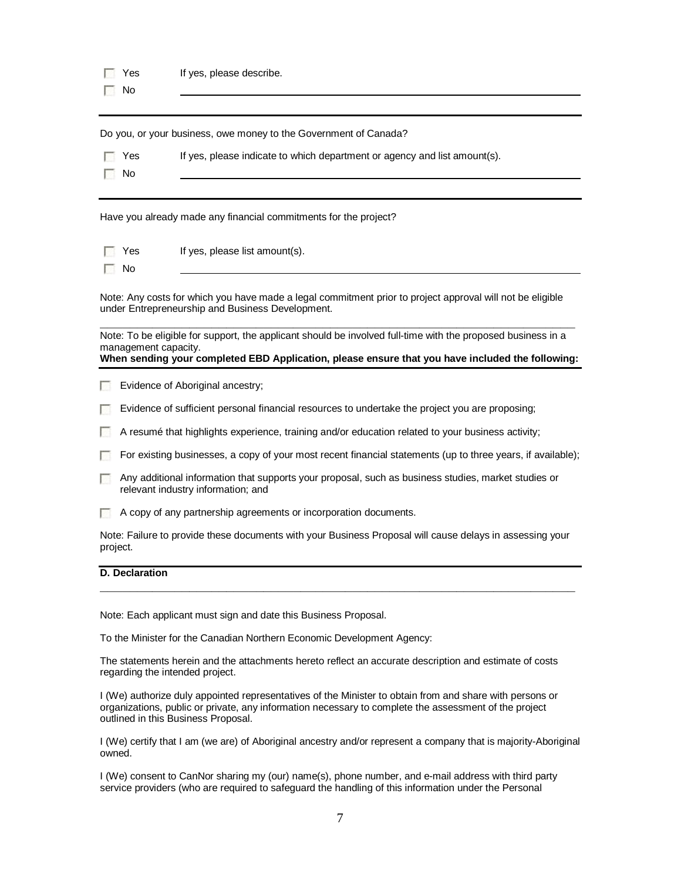Do you, or your business, owe money to the Government of Canada?

| $\Box$ Yes |  | If yes, please indicate to which department or agency and list amount(s). |  |
|------------|--|---------------------------------------------------------------------------|--|
|------------|--|---------------------------------------------------------------------------|--|

Have you already made any financial commitments for the project?

- **T** Yes If yes, please list amount(s).
- $\Box$  No

 $\Box$  No

Note: Any costs for which you have made a legal commitment prior to project approval will not be eligible under Entrepreneurship and Business Development.

**\_\_\_\_\_\_\_\_\_\_\_\_\_\_\_\_\_\_\_\_\_\_\_\_\_\_\_\_\_\_\_\_\_\_\_\_\_\_\_\_\_\_\_\_\_\_\_\_\_\_\_\_\_\_\_\_\_\_\_\_\_\_\_\_** Note: To be eligible for support, the applicant should be involved full-time with the proposed business in a management capacity. **When sending your completed EBD Application, please ensure that you have included the following:**

- **Exidence of Aboriginal ancestry;**
- 20 Evidence of sufficient personal financial resources to undertake the project you are proposing;
- $\Box$  A resumé that highlights experience, training and/or education related to your business activity;
- For existing businesses, a copy of your most recent financial statements (up to three years, if available);
- **A** Any additional information that supports your proposal, such as business studies, market studies or relevant industry information; and
- A copy of any partnership agreements or incorporation documents.

Note: Failure to provide these documents with your Business Proposal will cause delays in assessing your project.

**\_\_\_\_\_\_\_\_\_\_\_\_\_\_\_\_\_\_\_\_\_\_\_\_\_\_\_\_\_\_\_\_\_\_\_\_\_\_\_\_\_\_\_\_\_\_\_\_\_\_\_\_\_\_\_\_\_\_\_\_\_\_\_\_**

#### **D. Declaration**

Note: Each applicant must sign and date this Business Proposal.

To the Minister for the Canadian Northern Economic Development Agency:

The statements herein and the attachments hereto reflect an accurate description and estimate of costs regarding the intended project.

I (We) authorize duly appointed representatives of the Minister to obtain from and share with persons or organizations, public or private, any information necessary to complete the assessment of the project outlined in this Business Proposal.

I (We) certify that I am (we are) of Aboriginal ancestry and/or represent a company that is majority-Aboriginal owned.

I (We) consent to CanNor sharing my (our) name(s), phone number, and e-mail address with third party service providers (who are required to safeguard the handling of this information under the Personal